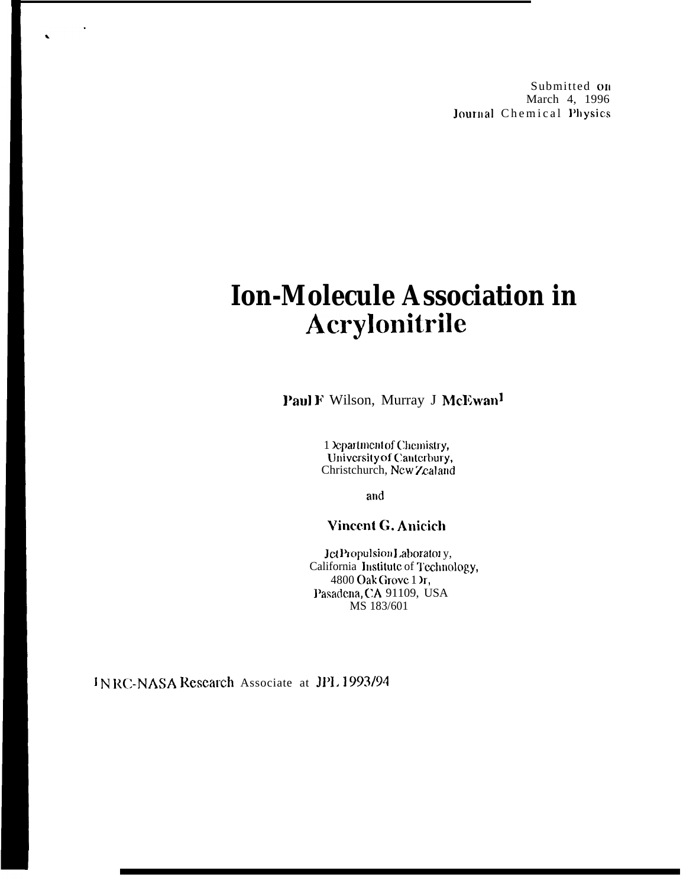Submitted on March 4, 1996 Journal Chemical Physics

# **Ion-Molecule Association in** Acrylonitrile

Paul F Wilson, Murray J McEwan<sup>1</sup>

1 Department of Chemistry, University of Canterbury, Christchurch, New Zealand

and

**Vincent G. Anicich** 

Jet Propulsion Laboratory, California Institute of Technology, 4800 Oak Grove 1 Yr, Pasadena, CA 91109, USA MS 183/601

INRC-NASA Research Associate at JPL 1993/94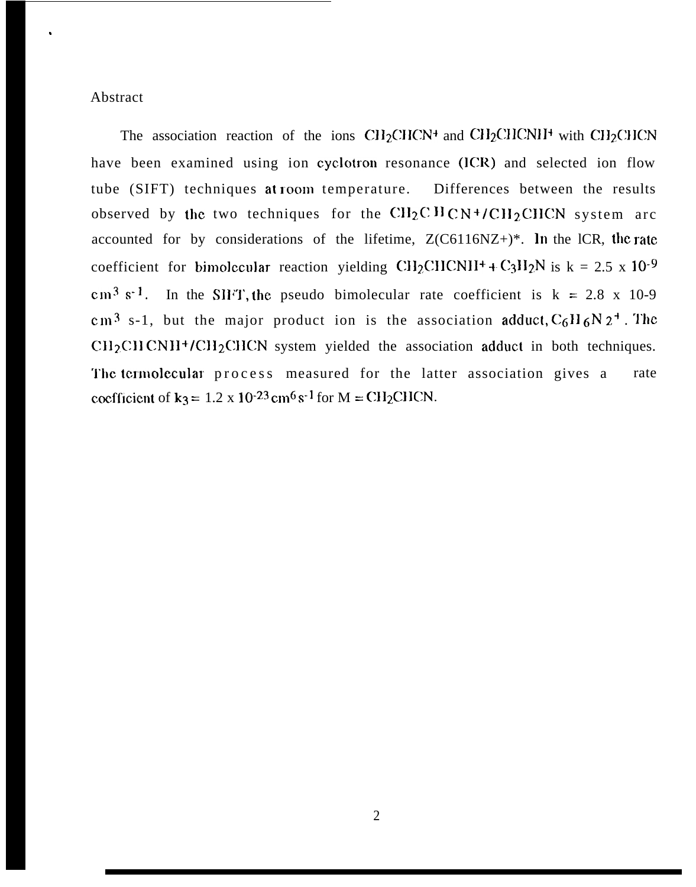#### Abstract

,

The association reaction of the ions  $CH_2CHCN^+$  and  $CH_2CHCNI^+$  with  $CH_2CHCN$ have been examined using ion cyclotron resonance (ICR) and selected ion flow tube (SIFT) techniques at room temperature. Differences between the results observed by the two techniques for the  $\text{CH}_2\text{C} \text{H} \text{C} \text{N}$ +/CH<sub>2</sub>CHCN system arc accounted for by considerations of the lifetime,  $Z(C6116NZ+)$ \*. In the lCR, the rate coefficient for bimolecular reaction yielding CH<sub>2</sub>CHCNH<sup>+</sup>+C<sub>3</sub>H<sub>2</sub>N is k = 2.5 x 10<sup>-9</sup> cm<sup>3</sup> s<sup>-1</sup>. In the SIFT, the pseudo bimolecular rate coefficient is k = 2.8 x 10-9 cm<sup>3</sup> s-1, but the major product ion is the association adduct,  $C_6H_6N_2^+$ . The  $CH<sub>2</sub>CHCNH<sup>+</sup>/CH<sub>2</sub>CHCN$  system yielded the association adduct in both techniques. The termolecular process measured for the latter association gives a rate coefficient of  $k_3 = 1.2 \times 10^{-23}$  cm<sup>6</sup> s<sup>-1</sup> for M = CH<sub>2</sub>CHCN.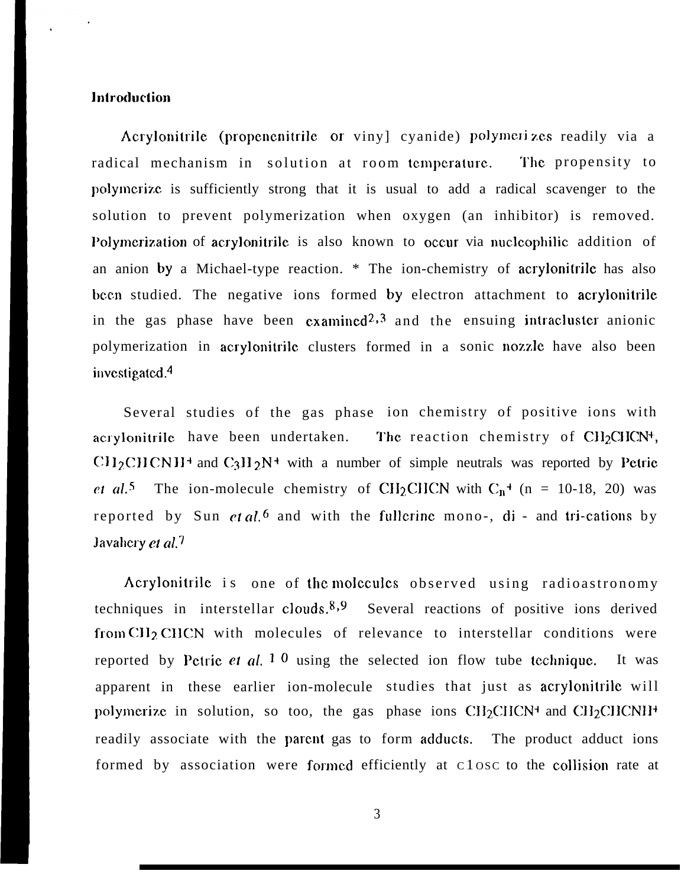### **Introduction**

Acrylonitrile (propenenitrile or viny) cyanide) polymerizes readily via a radical mechanism in solution at room temperature. The propensity to polymerize is sufficiently strong that it is usual to add a radical scavenger to the solution to prevent polymerization when oxygen (an inhibitor) is removed. Polymerization of acrylonitrile is also known to occur via nucleophilic addition of an anion by a Michael-type reaction. \* The ion-chemistry of acrylonitrile has also been studied. The negative ions formed by electron attachment to acrylonitrile in the gas phase have been  $\alpha$  anined<sup>2,3</sup> and the ensuing intracluster anionic polymerization in acrylonitrile clusters formed in a sonic nozzle have also been investigated. $4$ 

Several studies of the gas phase ion chemistry of positive ions with acrylonitrile have been undertaken. The reaction chemistry of CII<sub>2</sub>CIICN<sup>+</sup>, C $H_2$ CHCNH<sup>+</sup> and C<sub>3</sub>H<sub>2</sub>N<sup>+</sup> with a number of simple neutrals was reported by Petrie et al.<sup>5</sup> The ion-molecule chemistry of CH<sub>2</sub>CHCN with  $C_n$ <sup>+</sup> (n = 10-18, 20) was reported by Sun *et al.*<sup>6</sup> and with the fullerine mono-, di - and tri-cations by Javahery et  $al$ <sup>7</sup>

Acrylonitrile is one of the molecules observed using radioastronomy techniques in interstellar clouds. $8.9$  Several reactions of positive ions derived from CII<sub>2</sub> CHCN with molecules of relevance to interstellar conditions were reported by Petric et al.  $1 \, 0$  using the selected ion flow tube technique. It was apparent in these earlier ion-molecule studies that just as acrylonitrile will polymerize in solution, so too, the gas phase ions CH2CHCN<sup>+</sup> and CH2CHCNII<sup>+</sup> readily associate with the parent gas to form adducts. The product adduct ions formed by association were formed efficiently at C 1 osc to the collision rate at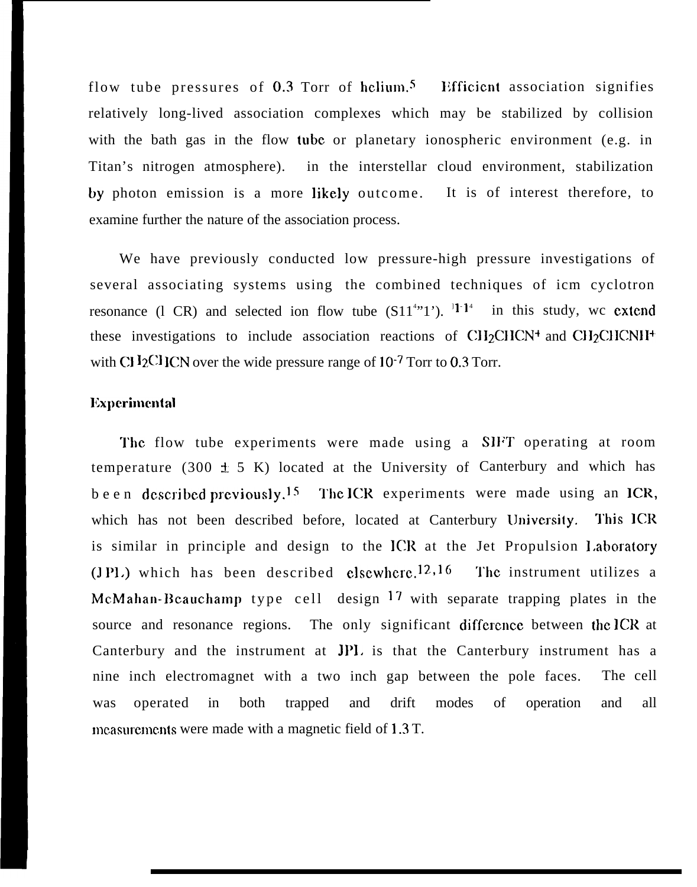flow tube pressures of  $0.3$  Torr of helium.<sup>5</sup> Efficient association signifies relatively long-lived association complexes which may be stabilized by collision with the bath gas in the flow tube or planetary ionospheric environment (e.g. in Titan's nitrogen atmosphere). in the interstellar cloud environment, stabilization by photon emission is a more likely outcome. It is of interest therefore, to examine further the nature of the association process.

We have previously conducted low pressure-high pressure investigations of several associating systems using the combined techniques of icm cyclotron resonance (1 CR) and selected ion flow tube  $(S11<sup>4</sup>·1<sup>2</sup>)$ . <sup>1</sup><sup>1</sup> in this study, wc extend these investigations to include association reactions of  $\text{CH}_2\text{CHCN}^+$  and  $\text{CH}_2\text{CHCN}^+$ with CH<sub>2</sub>C<sub>H</sub>CN over the wide pressure range of  $10^{-7}$  Torr to 0.3 Torr.

#### Experimental

The flow tube experiments were made using a SIFT operating at room temperature (300  $\pm$  5 K) located at the University of Canterbury and which has been described previously.<sup>15</sup> The ICR experiments were made using an ICR, which has not been described before, located at Canterbury University. This ICR is similar in principle and design to the ICR at the Jet Propulsion 1.aboratory  $(I Pl.)$  which has been described elsewhere.<sup>12,16</sup> McMahan-Beauchamp type cell design 17 with separate trapping plates in the source and resonance regions. The only significant difference between the ICR at Canterbury and the instrument at JPI. is that the Canterbury instrument has anine inch electromagnet with a two inch gap between the pole faces. The cell was operated in both trapped and drift modes of operation and all measurements were made with a magnetic field of  $1.3$  T. The instrument utilizes a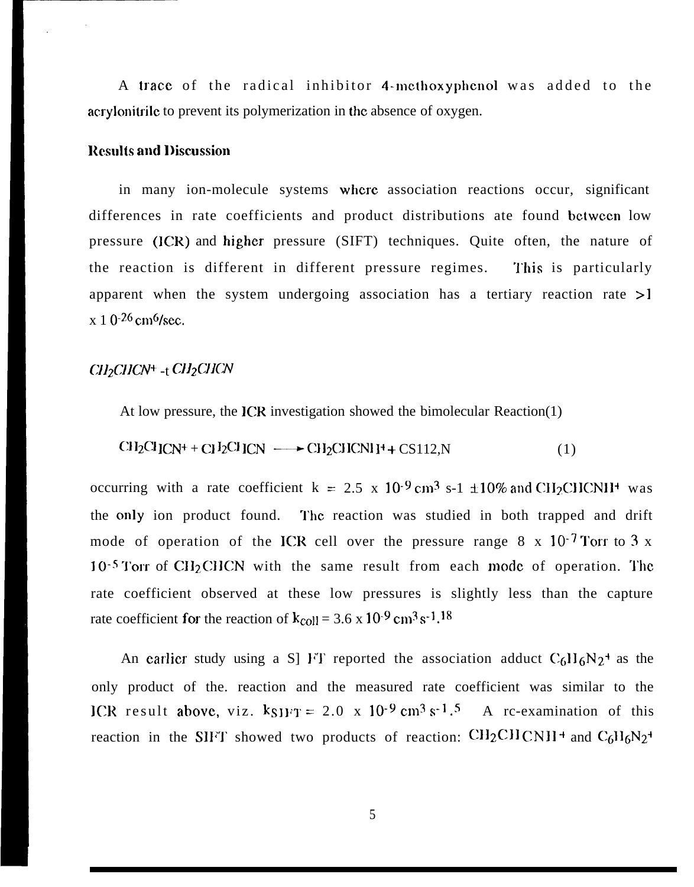A trace of the radical inhibitor 4-methoxyphenol was added to the acrylonitrile to prevent its polymerization in the absence of oxygen.

#### **Results and Discussion**

in many ion-molecule systems where association reactions occur, significant differences in rate coefficients and product distributions ate found between low pressure (ICR) and higher pressure (SIFT) techniques. Quite often, the nature of the reaction is different in different pressure regimes. This is particularly apparent when the system undergoing association has a tertiary reaction rate >1  $x 1 0^{-26}$  cm<sup>6</sup>/sec.

# CH<sub>2</sub>CHCN<sup>+</sup> -t CH<sub>2</sub>CHCN

At low pressure, the ICR investigation showed the bimolecular Reaction(1)

$$
CH_2Cl ICN^+ + CI I_2CI ICN \longrightarrow CH_2CIICNI I^+ + CS112, N
$$
 (1)

occurring with a rate coefficient k = 2.5 x 10<sup>-9</sup> cm<sup>3</sup> s-1  $\pm$ 10% and CH<sub>2</sub>CHCNH<sup>+</sup> was the only ion product found. The reaction was studied in both trapped and drift mode of operation of the ICR cell over the pressure range  $8 \times 10^{-7}$  Torr to 3 x  $10^{-5}$  Torr of CH<sub>2</sub>CHCN with the same result from each mode of operation. The rate coefficient observed at these low pressures is slightly less than the capture rate coefficient for the reaction of  $k_{\text{coll}} = 3.6 \times 10^{-9} \text{ cm}^3 \text{ s}^{-1}$ .<sup>18</sup>

An earlier study using a S] FT reported the association adduct  $C_6H_6N_2$ <sup>+</sup> as the only product of the. reaction and the measured rate coefficient was similar to the ICR result above, viz.  $k_{SIFT} = 2.0 \times 10^{-9} \text{ cm}^3 \text{ s}^{-1}$ .<sup>5</sup> A rc-examination of this reaction in the SIFT showed two products of reaction:  $CH_2CHCNH^+$  and  $C_6H_6N_2^+$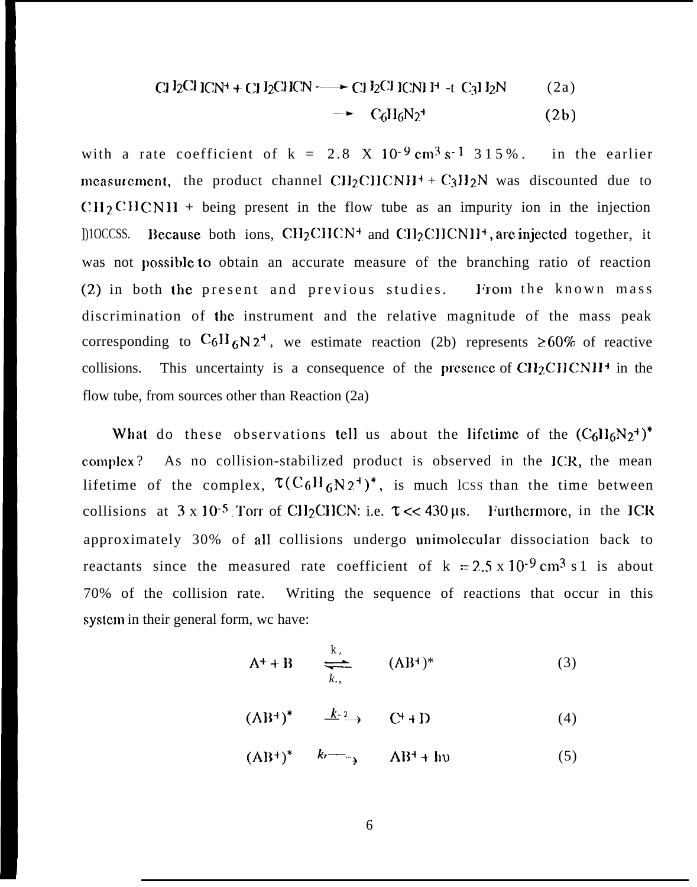$$
CI I_2CI ICN^+ + CI I_2CIICN \longrightarrow CI I_2CI ICNI I^+ -t C_3I I_2N
$$
 (2a)

$$
\rightarrow C_6H_6N_2^4 \qquad (2b)
$$

with a rate coefficient of  $k = 2.8$  X 10<sup>-9</sup> cm<sup>3</sup> s<sup>-1</sup> 315%. in the earlier measurement, the product channel  $\text{CH}_2\text{CHCNH}^+$  +  $\text{C}_3\text{H}_2\text{N}$  was discounted due to  $\text{CH}_2\text{CHCNH}$  + being present in the flow tube as an impurity ion in the injection  $[100CSS]$ . Because both ions, CH<sub>2</sub>CHCN<sup>+</sup> and CH<sub>2</sub>CHCNH<sup>+</sup>, are injected together, it was not possible to obtain an accurate measure of the branching ratio of reaction (2) in both the present and previous studies. From the known mass discrimination of the instrument and the relative magnitude of the mass peak corresponding to  $C_6H_6N_2^+$ , we estimate reaction (2b) represents  $\geq 60\%$  of reactive collisions. This uncertainty is a consequence of the presence of  $CH<sub>2</sub>CHCNH<sup>+</sup>$  in the flow tube, from sources other than Reaction (2a)

What do these observations tell us about the lifetime of the  $(C_6H_6N_2^+)^*$ complex? As no collision-stabilized product is observed in the ICR, the mean lifetime of the complex,  $\tau (C_6H_6N_2^{\dagger})^*$ , is much lcss than the time between collisions at  $3 \times 10^{-5}$ . Torr of CH<sub>2</sub>CHCN: i.e.  $\tau \ll 430 \,\mu s$ . Furthermore, in the ICR approximately 30% of all collisions undergo unimolecular dissociation back to reactants since the measured rate coefficient of  $k = 2.5 \times 10^{-9}$  cm<sup>3</sup> s 1 is about Writing the sequence of reactions that occur in this 70% of the collision rate. system in their general form, we have:

$$
A^+ + B \qquad \underset{k,}{\underbrace{\longrightarrow}} \qquad (AB^+)^* \tag{3}
$$

$$
(AB^+)^* \qquad \xrightarrow{k-2} \qquad C^+ + D \tag{4}
$$

$$
(AB^+)^* \qquad k \to \qquad AB^+ + hv \tag{5}
$$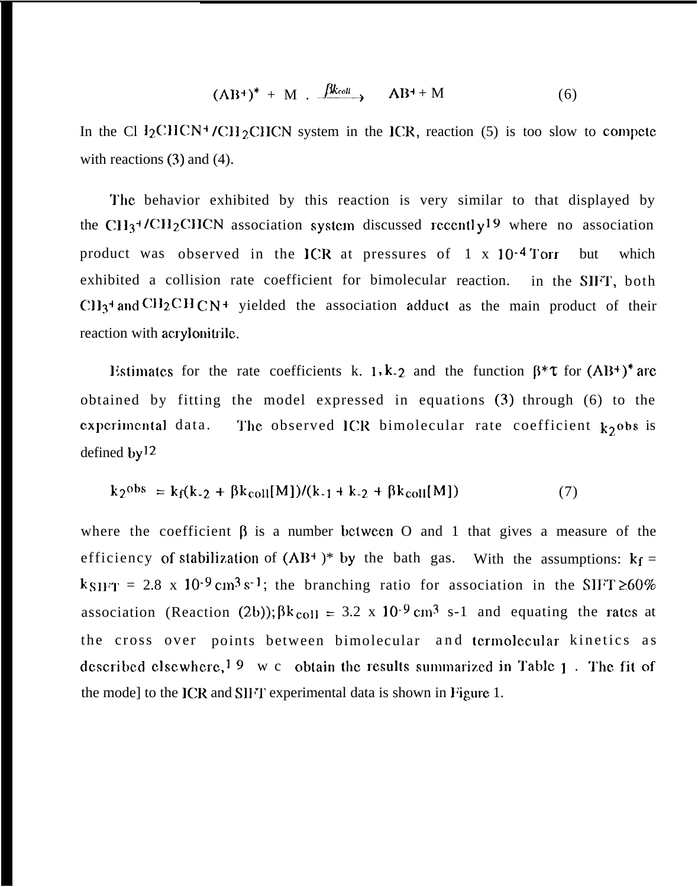$$
(\mathbf{AB}^+)^* + \mathbf{M} \cdot \xrightarrow{\beta k_{coll}} \mathbf{AB}^+ + \mathbf{M} \tag{6}
$$

In the Cl I<sub>2</sub>CHCN<sup>+</sup>/CH<sub>2</sub>CHCN system in the ICR, reaction (5) is too slow to compcte with reactions (3) and (4).

The behavior exhibited by this reaction is very similar to that displayed by the CH<sub>3</sub>+/CH<sub>2</sub>CHCN association system discussed recently<sup>19</sup> where no association product was observed in the ICR at pressures of 1 x 10<sup>-4</sup> Torr but which exhibited a collision rate coefficient for bimolecular reaction. in the SIFT, both  $\text{CH}_3$ <sup>+</sup> and CH<sub>2</sub>CH<sub>CN</sub>+ yielded the association adduct as the main product of their reaction with acrylonitrile.

Listimates for the rate coefficients k. 1, k-2 and the function  $\beta^* \tau$  for  $(AB^+)^*$  are obtained by fitting the model expressed in equations (3) through (6) to the experimental data. The observed ICR bimolecular rate coefficient  $k_2$ obs is defined  $by<sup>12</sup>$ 

$$
k_2^{obs} = k_f(k_{-2} + \beta k_{coll}[M])/(k_{-1} + k_{-2} + \beta k_{coll}[M])
$$
 (7)

where the coefficient  $\beta$  is a number between O and 1 that gives a measure of the efficiency of stabilization of  $(AB^+)^*$  by the bath gas. With the assumptions:  $k_f =$  $k_{S1FT}$  = 2.8 x 10<sup>-9</sup> cm<sup>3</sup> s<sup>-1</sup>; the branching ratio for association in the SIFT  $\geq 60\%$ association (Reaction (2b));  $\beta k_{\text{coll}} = 3.2 \times 10^{-9} \text{ cm}^3 \text{ s-1}$  and equating the rates at the cross over points between bimolecular and termolecular kinetics as described elsewhere,<sup>19</sup> w c obtain the results summarized in Table 1. The fit of the mode] to the ICR and SIFT experimental data is shown in Figure 1.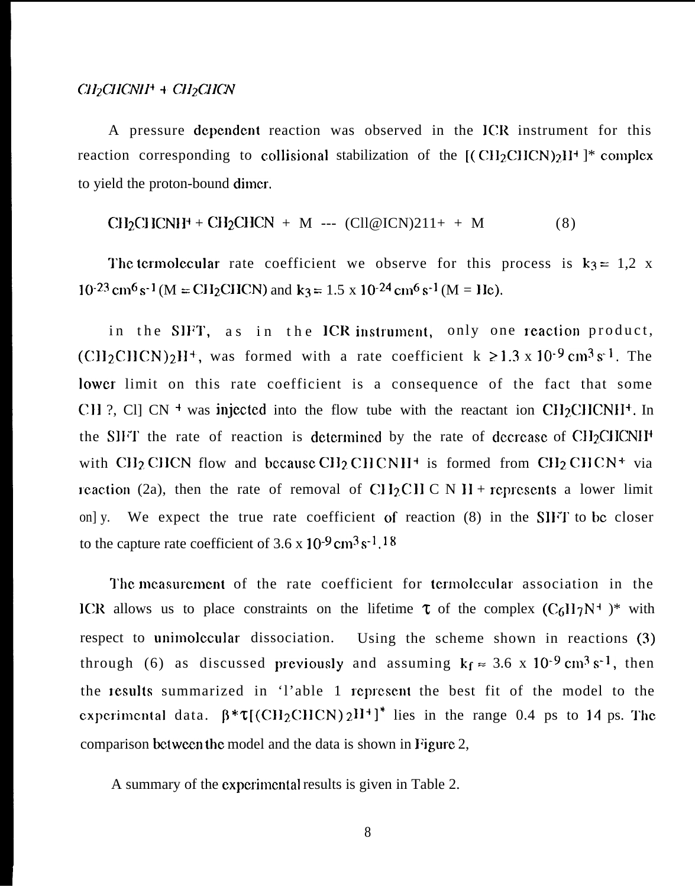### $CH_2CHCNI^+ + CH_2CHCN$

A pressure dcpcndcnt reaction was observed in the lCR instrument for this reaction corresponding to collisional stabilization of the  $[(CH_2CHCN)_2]$ <sup>+</sup>  $]$ <sup>\*</sup> complex to yield the proton-bound dimcr.

$$
CH2CI1CN1H+ + CH2CHCN + M --- (C1Cl@ICN)211+ + M
$$
 (8)

The termolecular rate coefficient we observe for this process is  $k_3 = 1,2$  x  $10^{-23}$  cm<sup>6</sup> s<sup>-1</sup> (M = CH<sub>2</sub>CHCN) and k<sub>3</sub> = 1.5 x 10<sup>-24</sup> cm<sup>6</sup> s<sup>-1</sup> (M = He).

in the SIFT, as in the ICR instrument, only one reaction product,  $(CH_2CHCN)_2H^+$ , was formed with a rate coefficient k  $\ge 1.3 \times 10^{-9}$  cm<sup>3</sup> s<sup>-1</sup>. The lower limit on this rate coefficient is a consequence of the fact that some CH ?, Cl] CN <sup>+</sup> was injected into the flow tube with the reactant ion CH<sub>2</sub>CHCNII<sup>+</sup>. In the SIFT the rate of reaction is determined by the rate of decrease of  $CH_2CICNI^+$ with CH<sub>2</sub> CHCN flow and because CH<sub>2</sub> CHCNII<sup>+</sup> is formed from CH<sub>2</sub> CHCN<sup>+</sup> via in reaction (2a), then the rate of removal of CH<sub>2</sub>CHC N H + represents a lower limit on] y. We expect the true rate coefficient of reaction  $(8)$  in the SIFT to be closer to the capture rate coefficient of  $3.6 \times 10^{-9}$  cm<sup>3</sup> s<sup>-1</sup>, 18

The measurement of the rate coefficient for termolecular association in the ICR allows us to place constraints on the lifetime  $\tau$  of the complex  $(C_6H_7N^+)$ \* with respect to unimolecular dissociation. Using the scheme shown in reactions (3) through (6) as discussed previously and assuming  $k_f \approx 3.6 \times 10^{-9} \text{ cm}^3 \text{ s}^{-1}$ , then the lesults summarized in 'l'able 1 rcprcscnt the best fit of the model to the experimental data.  $\beta^* \tau$ [(CH<sub>2</sub>CHCN)  $2H^+$ ]<sup>\*</sup> lies in the range 0.4 ps to 14 ps. The comparison bctwem the model and the data is shown in Figure 2,

A summary of the cxpcrimcntal results is given in Table 2.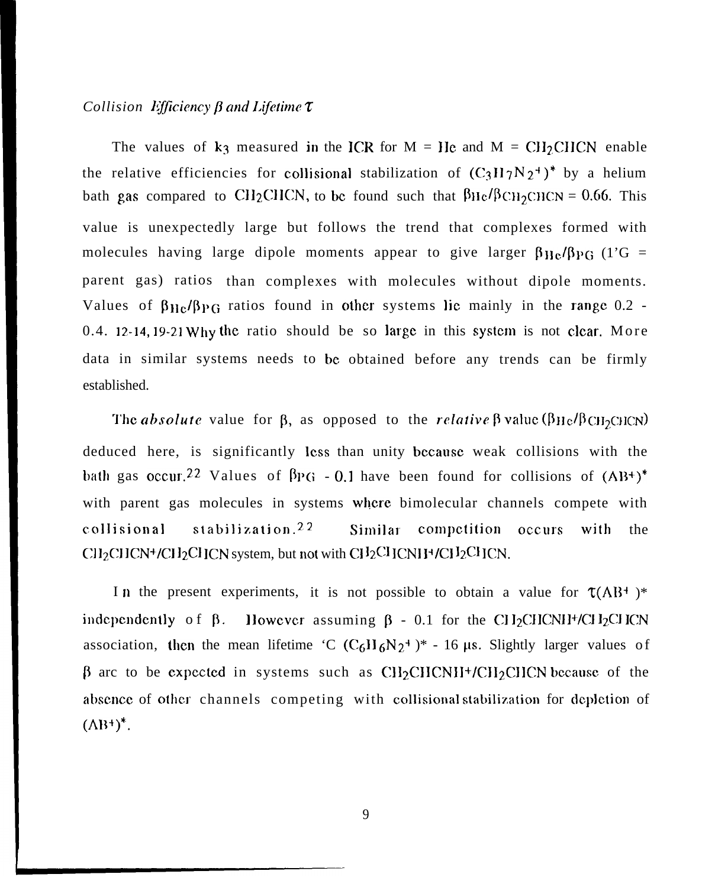## *Collision Efficiency*  $\beta$  *and Lifetime*  $\tau$

The values of  $k_3$  measured in the ICR for M = He and M = CH<sub>2</sub>CHCN enable the relative efficiencies for collisional stabilization of  $(C_3H_7N_2^+)^*$  by a helium bath gas compared to CH<sub>2</sub>CHCN, to be found such that  $\beta$ He/ $\beta$ CH<sub>2</sub>CHCN = 0.66. This value is unexpectedly large but follows the trend that complexes formed with molecules having large dipole moments appear to give larger  $\beta_{\text{He}}/\beta_{\text{PG}}$  (1'G = parent gas) ratios than complexes with molecules without dipole moments. Values of  $\beta_{He}/\beta_{PG}$  ratios found in other systems lie mainly in the range 0.2 -0.4. 12-14, 19-21 Why the ratio should be so large in this system is not clear. More data in similar systems needs to be obtained before any trends can be firmly established.

The *absolute* value for  $\beta$ , as opposed to the *relative*  $\beta$  value ( $\beta$ H<sub>c</sub>/ $\beta$ CH<sub>2</sub>CHCN) deduced here, is significantly less than unity because weak collisions with the bath gas occur.<sup>22</sup> Values of  $\beta$ PG - 0.1 have been found for collisions of  $(AB^+)^*$ with parent gas molecules in systems where bimolecular channels compete with collisional stabilization.<sup>22</sup> Similar competition occurs with the  $\text{CI}1_2\text{CI}1\text{CN}+$ /CH $_2\text{CI}1\text{CN}$  system, but not with CH $_2\text{CI}1\text{CN}$ H $_2\text{CI}1\text{CN}$ .

In the present experiments, it is not possible to obtain a value for  $\tau(AB^+)^*$ independently of  $\beta$ . However assuming  $\beta$  - 0.1 for the CH<sub>2</sub>CHCNH<sup>+</sup>/CH<sub>2</sub>CHCN association, then the mean lifetime 'C  $(C_6H_6N_2^+)^*$  - 16 µs. Slightly larger values of  $\beta$  arc to be expected in systems such as CH<sub>2</sub>CHCNII+/CH<sub>2</sub>CHCN because of the absence of other channels competing with collisional stabilization for depletion of  $(AB^+)^*$ .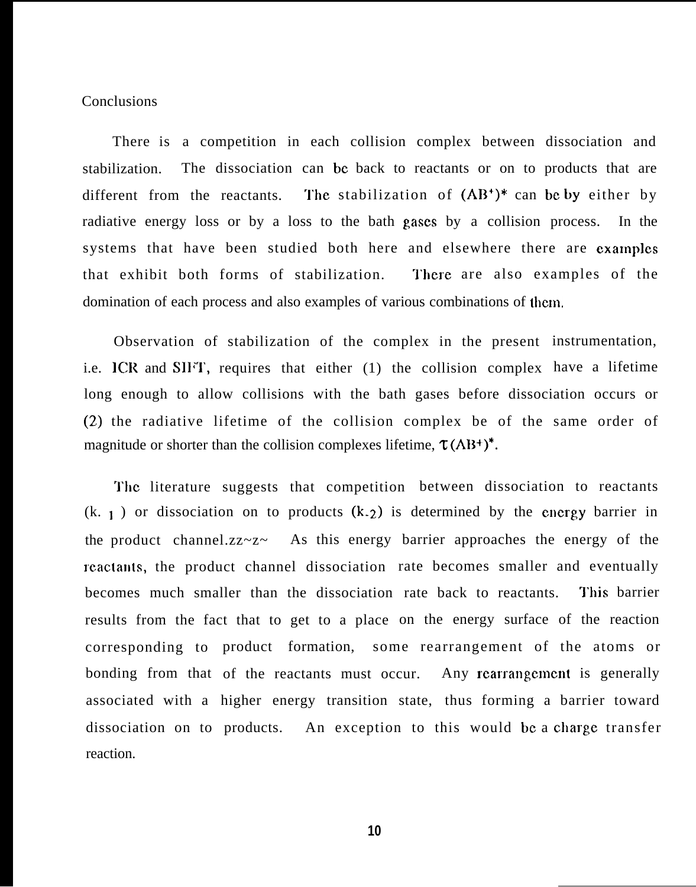#### Conclusions

There is a competition in each collision complex between dissociation and stabilization. The dissociation can be back to reactants or on to products that are different from the reactants. The stabilization of  $(AB^*)^*$  can be by either by radiative energy loss or by a loss to the bath gases by a collision process. In the systems that have been studied both here and elsewhere there are examples that exhibit both forms of stabilization. There are also examples of the domination of each process and also examples of various combinations of them,

i.e. ICR and SIFT, requires that either (1) the collision complex have a lifetime Observation of stabilization of the complex in the present instrumentation, long enough to allow collisions with the bath gases before dissociation occurs or (2) the radiative lifetime of the collision complex be of the same order of magnitude or shorter than the collision complexes lifetime,  $\tau (AB^+)^*$ .

'J'hc literature suggests that competition between dissociation to reactants  $(k, 1)$  or dissociation on to products  $(k, 2)$  is determined by the energy barrier in the product channel.zz~z~ As this energy barrier approaches the energy of the reactants, the product channel dissociation rate becomes smaller and eventually becomes much smaller than the dissociation rate back to reactants. This barrier results from the fact that to get to a place on the energy surface of the reaction corresponding to product formation, some rearrangement of the atoms or bonding from that of the reactants must occur. Any rcarrangcmcnt is generally associated with a higher energy transition state, thus forming a barrier toward dissociation on to products. An exception to this would be a charge transfer reaction.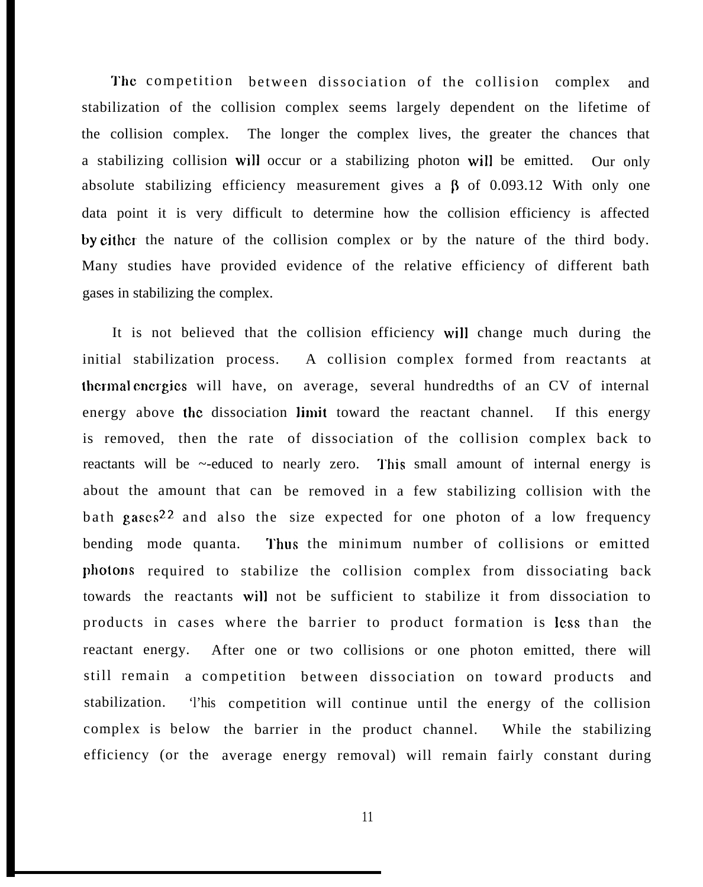The competition between dissociation of the collision complex and stabilization of the collision complex seems largely dependent on the lifetime of the collision complex. The longer the complex lives, the greater the chances that a stabilizing collision will occur or a stabilizing photon will be emitted. Our only absolute stabilizing efficiency measurement gives a  $\beta$  of 0.093.12 With only one data point it is very difficult to determine how the collision efficiency is affected by either the nature of the collision complex or by the nature of the third body. Many studies have provided evidence of the relative efficiency of different bath gases in stabilizing the complex.

It is not believed that the collision efficiency will change much during the initial stabilization process. A collision complex formed from reactants at thermal cncrgics will have, on average, several hundredths of an CV of internal energy above the dissociation limit toward the reactant channel. If this energy is removed, then the rate of dissociation of the collision complex back to reactants will be ~-educed to nearly zero. This small amount of internal energy is about the amount that can be removed in a few stabilizing collision with the bath gases<sup>22</sup> and also the size expected for one photon of a low frequency bending mode quanta. photons required to stabilize the collision complex from dissociating back towards the reactants will not be sufficient to stabilize it from dissociation to Thus the minimum number of collisions or emitted. products in cases where the barrier to product formation is less than the reactant energy. After one or two collisions or one photon emitted, there will still remain a competition between dissociation on toward products and stabilization. complex is below the barrier in the product channel. While the stabilizing efficiency (or the average energy removal) will remain fairly constant during competition will continue until the energy of the collision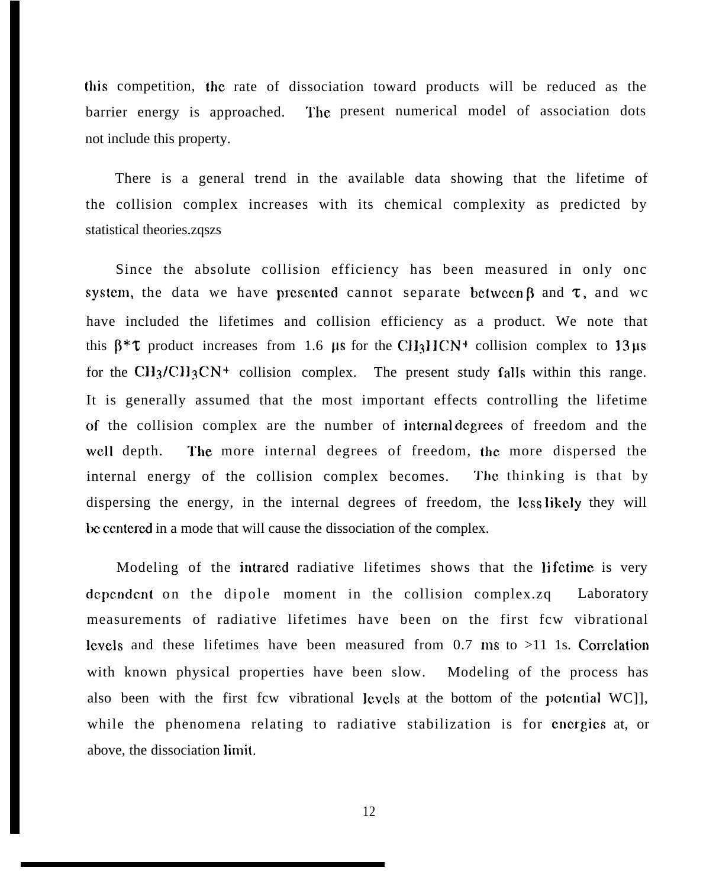[his competition, the rate of dissociation toward products will be reduced as the barrier energy is approached. The present numerical model of association dots not include this property.

There is a general trend in the available data showing that the lifetime of the collision complex increases with its chemical complexity as predicted by statistical theories.zqszs

Since the absolute collision efficiency has been measured in only onc system, the data we have presented cannot separate between  $\beta$  and  $\tau$ , and wc have included the lifetimes and collision efficiency as a product. We note that this  $\beta^*$ t product increases from 1.6 µs for the CH3HCN<sup>+</sup> collision complex to 13 µs for the CH<sub>3</sub>/CH<sub>3</sub>CN<sup>+</sup> collision complex. The present study falls within this range. It is generally assumed that the most important effects controlling the lifetime of the collision complex are the number of intcma] dcgrccs of freedom and the well depth. The more internal degrees of freedom, the more dispersed the internal energy of the collision complex becomes. The thinking is that by dispersing the energy, in the internal degrees of freedom, the less likely they will be ccntercd in a mode that will cause the dissociation of the complex.

Modeling of the intrarcd radiative lifetimes shows that the Ii fctime is very dependent on the dipole moment in the collision complex.zq Laboratory measurements of radiative lifetimes have been on the first fcw vibrational lcvcls and these lifetimes have been measured from  $0.7$  ms to  $>11$  1s. Correlation with known physical properties have been slow. Modeling of the process has also been with the first fcw vibrational levels at the bottom of the potential  $WC$ ], while the phenomena relating to radiative stabilization is for energies at, or above, the dissociation limit.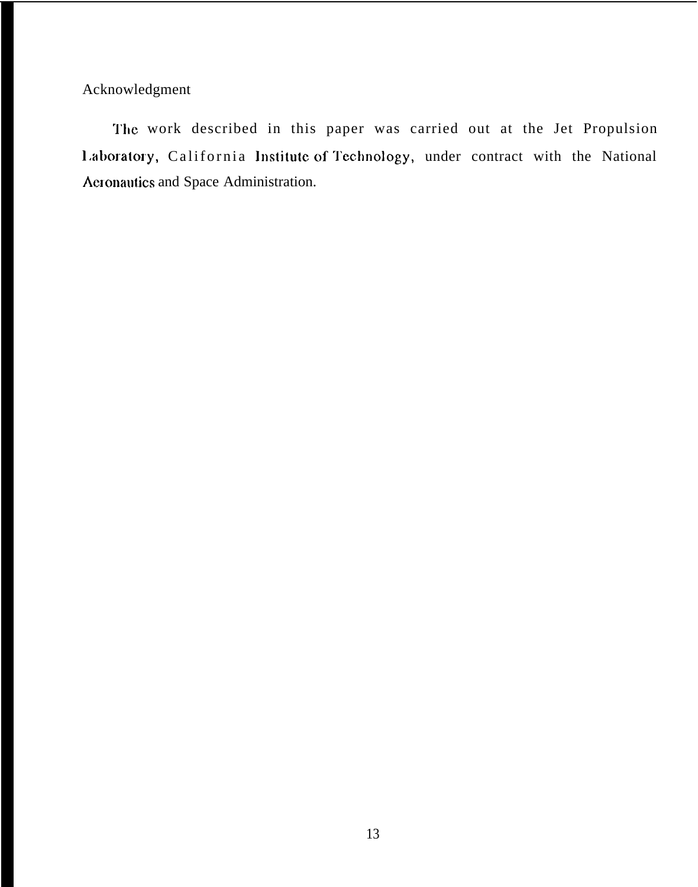Acknowledgment

The work described in this paper was carried out at the Jet Propulsion Laboratory, California Institute of Technology, under contract with the National Aeronautics and Space Administration.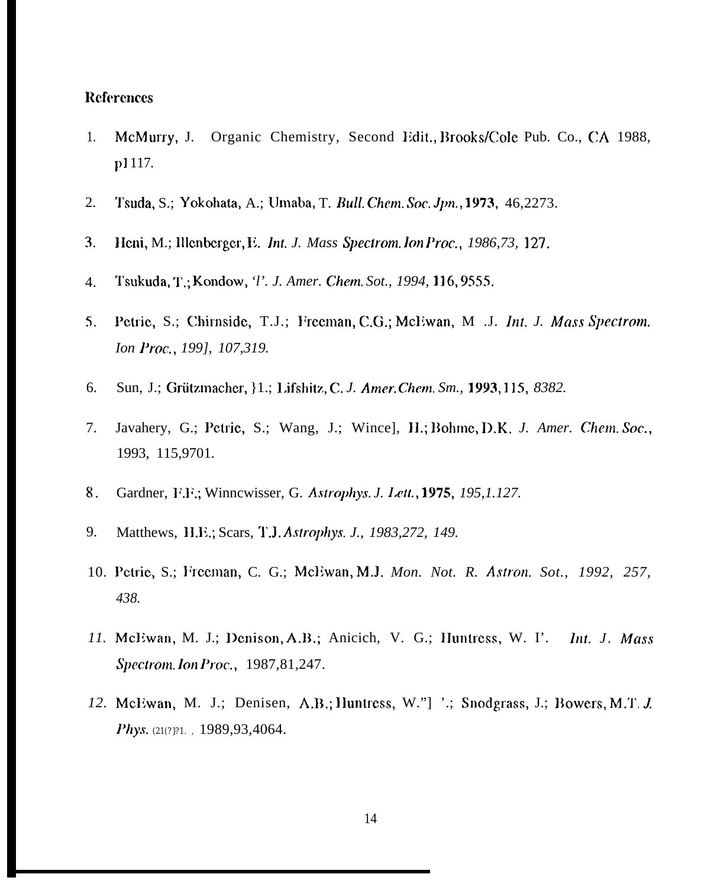### **References**

- McMurry, J. Organic Chemistry, Second Edit., Brooks/Cole Pub. Co., CA 1988, 1. p1117.
- 2. Tsuda, S.; Yokohata, A.; Umaba, T. Bull. Chem. Soc. Jpn., 1973, 46,2273.
- 3. Heni, M.; Illenberger, E. Int. J. Mass Spectrom. Ion Proc., 1986, 73, 127.
- Tsukuda, T.; Kondow, *T. J. Amer. Chem. Sot., 1994*, 116, 9555.  $\overline{4}$ .
- Petrie, S.; Chirnside, T.J.; Freeman, C.G.; McEwan, M .J. Int. J. Mass Spectrom.  $5<sub>1</sub>$ Ion Proc., 199], 107,319.
- 6. Sun, J.; Grützmacher, }1.; Lifshitz, C. J. Amer. Chem. Sm., 1993, 115, 8382.
- Javahery, G.; Petrie, S.; Wang, J.; Wince], H.; Bohme, D.K. J. Amer. Chem. Soc., 7. 1993, 115,9701.
- Gardner, F.F.; Winncwisser, G. Astrophys. J. Lett., 1975, 195, 1.127. 8.
- Matthews, H.E.; Scars, T.J. Astrophys. J., 1983,272, 149. 9.
- 10. Petrie, S.; Freeman, C. G.; McEwan, M.J. Mon. Not. R. Astron. Sot., 1992, 257, 438.
- 11. McEwan, M. J.; Denison, A.B.; Anicich, V. G.; Huntress, W. I'. Int. J. Mass Spectrom. Ion Proc., 1987, 81, 247.
- 12. McEwan, M. J.; Denisen, A.B.; Huntress, W."] '.; Snodgrass, J.; Bowers, M.T. J. Phys. (21(?)?1., 1989,93,4064.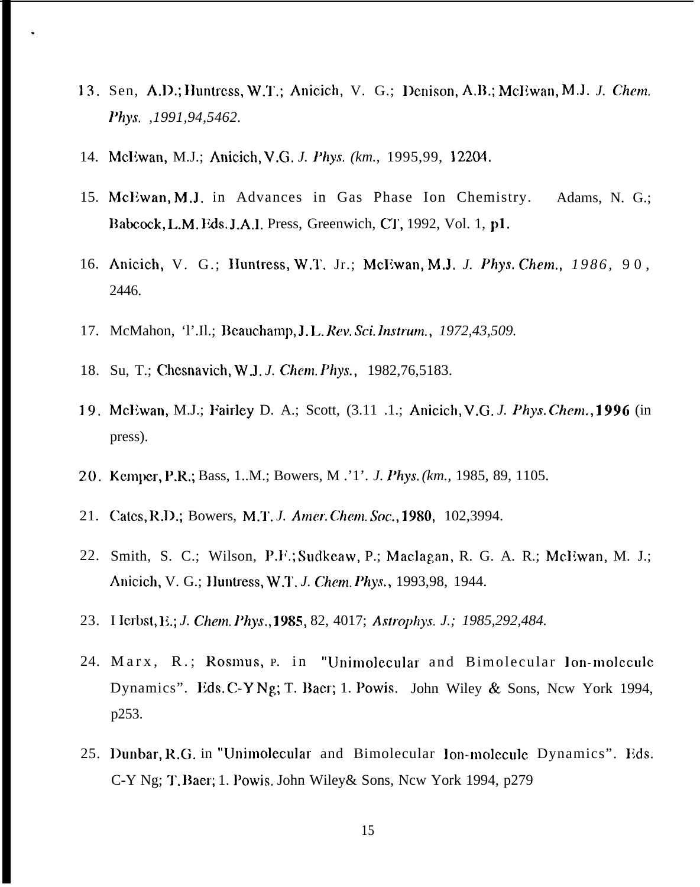- 13. Sen, A.D.; Huntress, W.T.; Anicich, V. G.; Denison, A.B.; McEwan, M.J. *J. Chem. Phys. ,1991,94,5462.*
- 14. Mcliwan, M.J.; Anicich, V.G. *J. Phys. (km.,* 1995,99, 12204.

.

- 15. McEwan, M.J. in Advances in Gas Phase Ion Chemistry. Adams, N. G.; Babcock, L.M. Eds. J.A.I. Press, Greenwich, CT, 1992, Vol. 1, p1.
- 16. Anicich, V. G.; Huntress, W.T. Jr.; McEwan, M.J. J. Phys. Chem., 1986, 90, 2446.
- 17. McMahon, 'l'.Il.; Beauchamp, J. L. Rev. Sci. Instrum., 1972,43,509.
- 18. Su, T.; Chcsnavich, W.J. *J. Chan. Phys.,* 1982,76,5183.
- 19. McEwan, M.J.; Fairley D. A.; Scott, (3.11 .1.; Anicich, V.G. J. Phys. Chem., 1996 (in press).
- 20. Kemper, P.R.; Bass, 1..M.; Bowers, M .'1'. *J. Phys. (km., 1985, 89, 1105.*
- 21. Cates, R.D.; Bowers, M.T. J. Amer. Chem. Soc., 1980, 102,3994.
- 22. Smith, S. C.; Wilson, P.F.; Sudkeaw, P.; Maclagan, R. G. A. R.; McEwan, M. J.; Anicich, V. G.; IIuntress, W.T. *J. Chem. Phys.,* 1993,98, 1944.
- 23. I lerbst, E.; *J. Chem. Phys.*, **1985**, 82, 4017; *Astrophys. J.; 1985,292,484.*
- 24. Marx, R.; Rosmus, p. in "Unimolecular and Bimolecular lon-molecule Dynamics". Eds. C-Y Ng; T. Baer; 1. Powis. John Wiley & Sons, Ncw York 1994, p253.
- 25. Dunbar, R.G. in "Unimolecular and Bimolecular lon-molcculc Dynamics". Eds. C-Y Ng; T. Baer; 1. Powis. John Wiley & Sons, Ncw York 1994, p279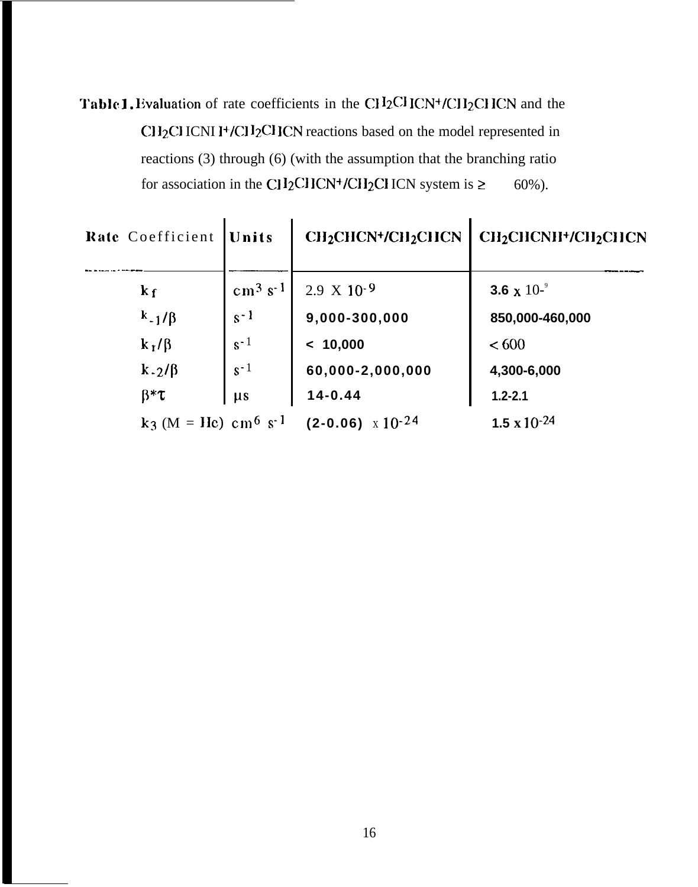Table 1. Evaluation of rate coefficients in the CH<sub>2</sub>CHCN+/CH<sub>2</sub>CHCN and the  $CH<sub>2</sub>CI$ ICNI I<sup>+</sup>/CII<sub>2</sub>CIICN reactions based on the model represented in reactions  $(3)$  through  $(6)$  (with the assumption that the branching ratio for association in the CH<sub>2</sub>CHCN<sup>+</sup>/CH<sub>2</sub>CHCN system is  $\ge$  $60\%$ ).

| Rate Coefficient                               | <b>Units</b>          | <b>CH2CHCN+/CH2CHCN</b>    | <b>CH2CHCNII+/CH2CHCN</b>      |  |  |
|------------------------------------------------|-----------------------|----------------------------|--------------------------------|--|--|
| $k_{\rm f}$                                    | $cm3$ s <sup>-1</sup> | $2.9 \times 10^{-9}$       | 3.6 x $10^{-9}$                |  |  |
| $k_{-1}/\beta$                                 | $s - 1$               | 9,000-300,000              | 850,000-460,000                |  |  |
| $k_1/\beta$                                    | $s-1$                 | < 10,000                   | <600                           |  |  |
| $k - 2/\beta$                                  | $s-1$                 | 60,000-2,000,000           | 4,300-6,000                    |  |  |
| $\beta^* \tau$                                 | $\mu s$               | $14 - 0.44$                | $1.2 - 2.1$                    |  |  |
| $k_3$ (M = He) cm <sup>6</sup> s <sup>-1</sup> |                       | $(2-0.06) \times 10^{-24}$ | 1.5 $\times$ 10 <sup>-24</sup> |  |  |

L,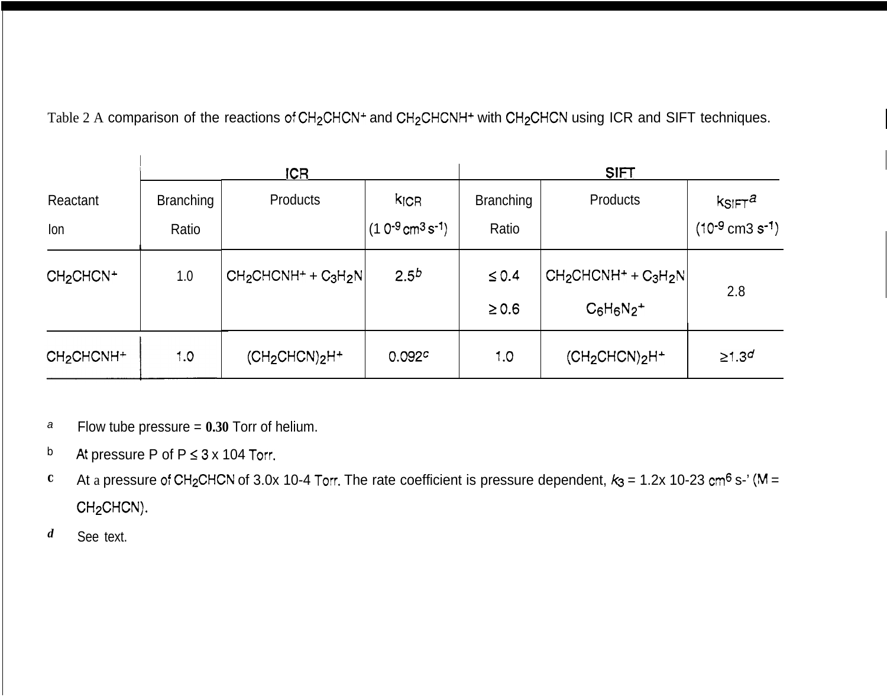Table 2 A comparison of the reactions of CH<sub>2</sub>CHCN<sup>+</sup> and CH<sub>2</sub>CHCNH<sup>+</sup> with CH<sub>2</sub>CHCN using ICR and SIFT techniques.

|                                    | ICR                       |                         |                                                       | <b>SIFT</b>               |                                          |                                                  |
|------------------------------------|---------------------------|-------------------------|-------------------------------------------------------|---------------------------|------------------------------------------|--------------------------------------------------|
| Reactant<br>Ion                    | <b>Branching</b><br>Ratio | Products                | <b>KICR</b><br>$(10^{-9} \text{cm}^3 \text{ s}^{-1})$ | <b>Branching</b><br>Ratio | Products                                 | $k$ SIFT $a$<br>$(10^{-9}$ cm3 s <sup>-1</sup> ) |
| CH <sub>2</sub> CHCN <sup>+</sup>  | 1.0                       | $CH_2CHCNH^+ + C_3H_2N$ | $2.5^{b}$                                             | $\leq 0.4$<br>$\geq 0.6$  | $CH_2CHCNH^+ + C_3H_2N$<br>$C_6H_6N_2^+$ | 2.8                                              |
| CH <sub>2</sub> CHCNH <sup>+</sup> | 1.0                       | $(CH_2CHCN)_2H^+$       | 0.092c                                                | 1.0                       | $(CH2CHCN)2H+$                           | $\geq 1.3^{d}$                                   |

- a Flow tube pressure = **0.30** Torr of helium.
- *b* At pressure P of  $P \le 3 \times 104$  Torr.
- **c** At a pressure of CH<sub>2</sub>CHCN of 3.0x 10-4 Torr. The rate coefficient is pressure dependent,  $k_3 = 1.2x$  10-23 cm<sup>6</sup> s-' (M = CH<sub>2</sub>CHCN).
- *d* See text.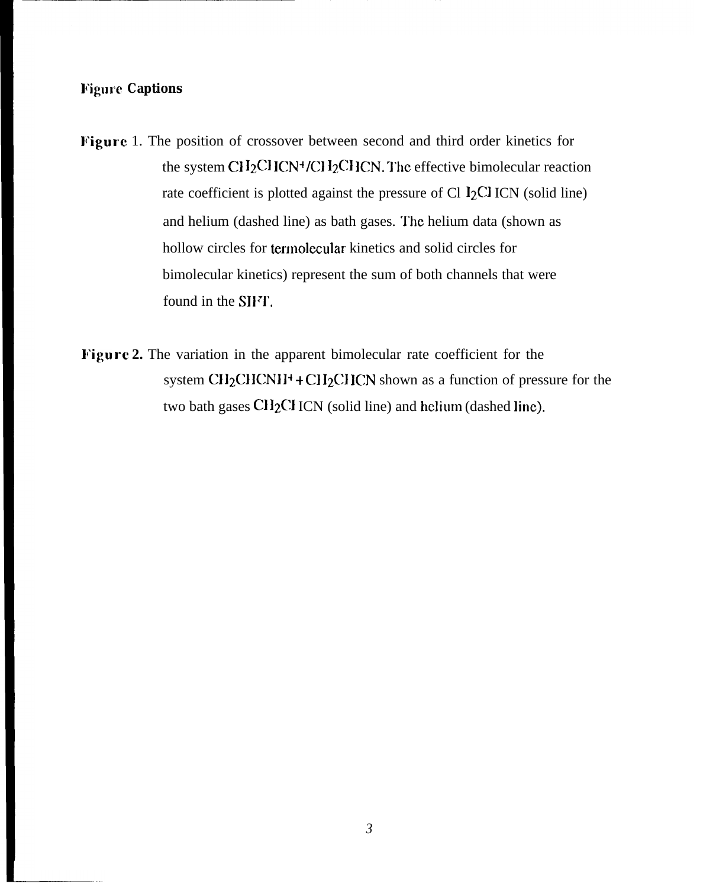## **Figure Captions**

- Figure 1. The position of crossover between second and third order kinetics for the system Cl  $I_2$ Cl ICN<sup>+</sup>/Cl  $I_2$ Cl ICN. The effective bimolecular reaction rate coefficient is plotted against the pressure of Cl  $\rm 12CI$  ICN (solid line) and helium (dashed line) as bath gases. The helium data (shown as hollow circles for termolecular kinetics and solid circles for bimolecular kinetics) represent the sum of both channels that were found in the SIFT.
- **l'igure 2.** The variation in the apparent bimolecular rate coefficient for the system  $CH_2CHCNH^+ + CH_2CHCN$  shown as a function of pressure for the two bath gases CI12C1 ICN (solid line) and helium (dashed line).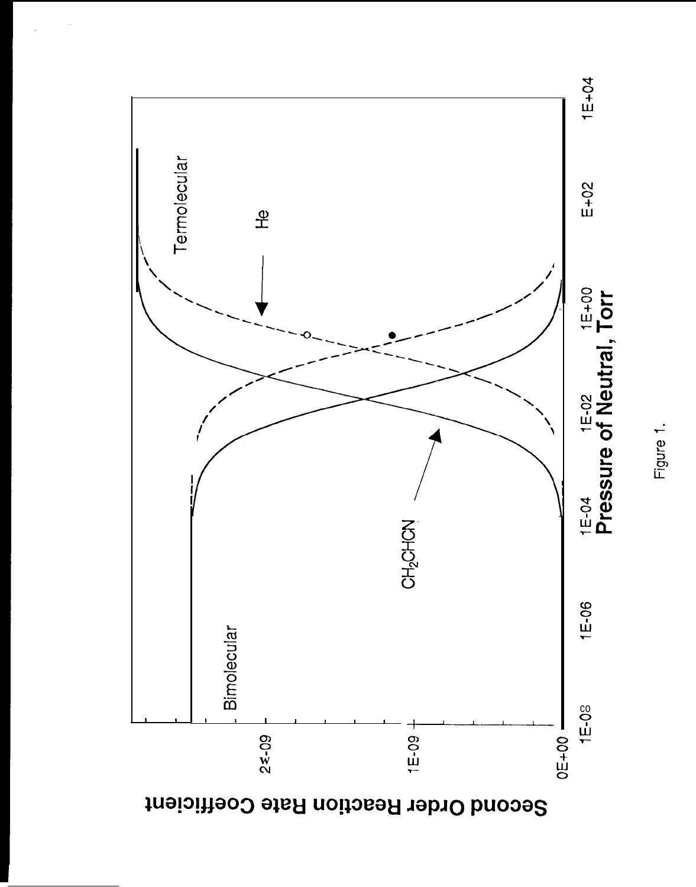

Figure 1.